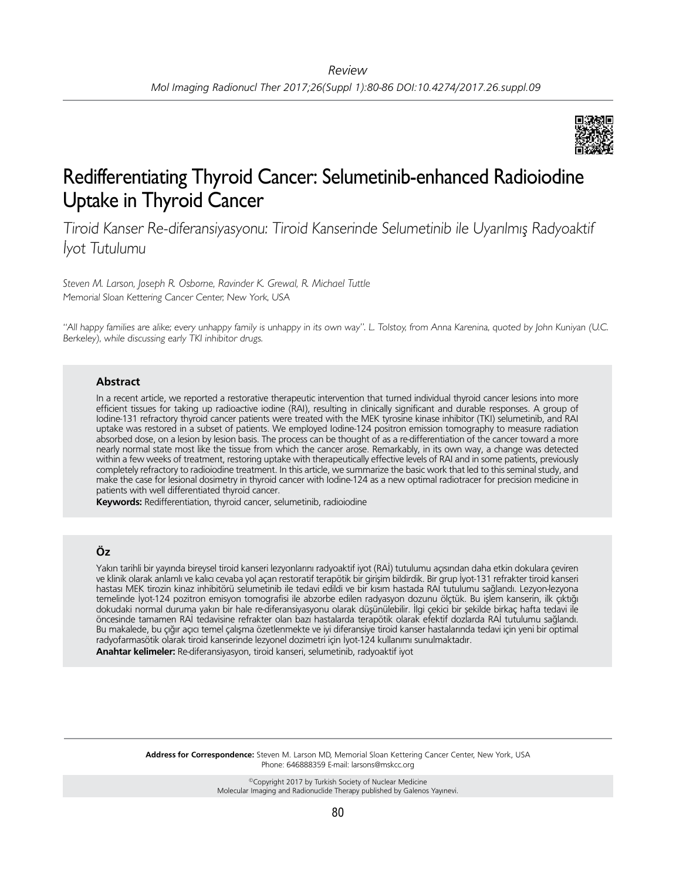

# Redifferentiating Thyroid Cancer: Selumetinib-enhanced Radioiodine Uptake in Thyroid Cancer

Tiroid Kanser Re-diferansiyasyonu: Tiroid Kanserinde Selumetinib ile Uyarılmış Radyoaktif İyot Tutulumu

*Steven M. Larson, Joseph R. Osborne, Ravinder K. Grewal, R. Michael Tuttle* Memorial Sloan Kettering Cancer Center, New York, USA

"All happy families are alike; every unhappy family is unhappy in its own way". L. Tolstoy, from Anna Karenina, quoted by John Kuniyan (U.C. Berkeley), while discussing early TKI inhibitor drugs.

#### **Abstract**

In a recent article, we reported a restorative therapeutic intervention that turned individual thyroid cancer lesions into more efficient tissues for taking up radioactive iodine (RAI), resulting in clinically significant and durable responses. A group of Iodine-131 refractory thyroid cancer patients were treated with the MEK tyrosine kinase inhibitor (TKI) selumetinib, and RAI uptake was restored in a subset of patients. We employed Iodine-124 positron emission tomography to measure radiation absorbed dose, on a lesion by lesion basis. The process can be thought of as a re-differentiation of the cancer toward a more nearly normal state most like the tissue from which the cancer arose. Remarkably, in its own way, a change was detected within a few weeks of treatment, restoring uptake with therapeutically effective levels of RAI and in some patients, previously completely refractory to radioiodine treatment. In this article, we summarize the basic work that led to this seminal study, and make the case for lesional dosimetry in thyroid cancer with Iodine-124 as a new optimal radiotracer for precision medicine in patients with well differentiated thyroid cancer.

**Keywords:** Redifferentiation, thyroid cancer, selumetinib, radioiodine

## **Öz**

Yakın tarihli bir yayında bireysel tiroid kanseri lezyonlarını radyoaktif iyot (RAİ) tutulumu açısından daha etkin dokulara çeviren ve klinik olarak anlamlı ve kalıcı cevaba yol açan restoratif terapötik bir girişim bildirdik. Bir grup İyot-131 refrakter tiroid kanseri hastası MEK tirozin kinaz inhibitörü selumetinib ile tedavi edildi ve bir kısım hastada RAI tutulumu sağlandı. Lezyon-lezyona temelinde İyot-124 pozitron emisyon tomografisi ile abzorbe edilen radyasyon dozunu ölçtük. Bu işlem kanserin, ilk çıktığı dokudaki normal duruma yakın bir hale re-diferansiyasyonu olarak düşünülebilir. İlgi çekici bir şekilde birkaç hafta tedavi ile öncesinde tamamen RAİ tedavisine refrakter olan bazı hastalarda terapötik olarak efektif dozlarda RAİ tutulumu sağlandı. Bu makalede, bu çığır açıcı temel çalışma özetlenmekte ve iyi diferansiye tiroid kanser hastalarında tedavi için yeni bir optimal radyofarmasötik olarak tiroid kanserinde lezyonel dozimetri için İyot-124 kullanımı sunulmaktadır. **Anahtar kelimeler:** Re-diferansiyasyon, tiroid kanseri, selumetinib, radyoaktif iyot

> **Address for Correspondence:** Steven M. Larson MD, Memorial Sloan Kettering Cancer Center, New York, USA Phone: 646888359 E-mail: larsons@mskcc.org

> > ©Copyright 2017 by Turkish Society of Nuclear Medicine Molecular Imaging and Radionuclide Therapy published by Galenos Yayınevi.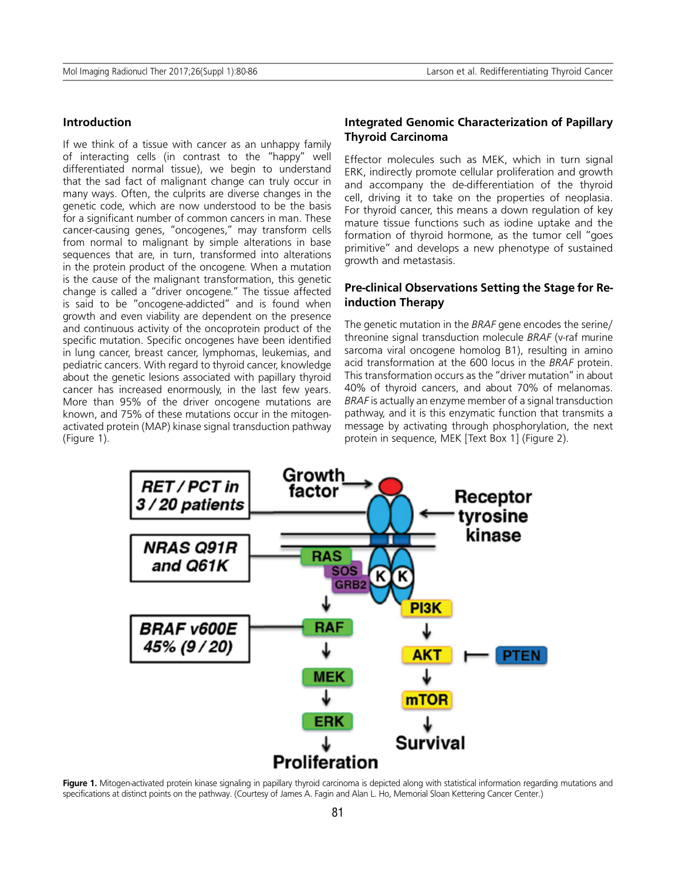#### **Introduction**

If we think of a tissue with cancer as an unhappy family of interacting cells (in contrast to the "happy" well differentiated normal tissue), we begin to understand that the sad fact of malignant change can truly occur in many ways. Often, the culprits are diverse changes in the genetic code, which are now understood to be the basis for a significant number of common cancers in man. These cancer-causing genes, "oncogenes," may transform cells from normal to malignant by simple alterations in base sequences that are, in turn, transformed into alterations in the protein product of the oncogene. When a mutation is the cause of the malignant transformation, this genetic change is called a "driver oncogene." The tissue affected is said to be "oncogene-addicted" and is found when growth and even viability are dependent on the presence and continuous activity of the oncoprotein product of the specific mutation. Specific oncogenes have been identified in lung cancer, breast cancer, lymphomas, leukemias, and pediatric cancers. With regard to thyroid cancer, knowledge about the genetic lesions associated with papillary thyroid cancer has increased enormously, in the last few years. More than 95% of the driver oncogene mutations are known, and 75% of these mutations occur in the mitogenactivated protein (MAP) kinase signal transduction pathway (Figure 1).

## **Integrated Genomic Characterization of Papillary Thyroid Carcinoma**

Effector molecules such as MEK, which in turn signal ERK, indirectly promote cellular proliferation and growth and accompany the de-differentiation of the thyroid cell, driving it to take on the properties of neoplasia. For thyroid cancer, this means a down regulation of key mature tissue functions such as iodine uptake and the formation of thyroid hormone, as the tumor cell "goes primitive" and develops a new phenotype of sustained growth and metastasis.

## **Pre-clinical Observations Setting the Stage for Reinduction Therapy**

The genetic mutation in the *BRAF* gene encodes the serine/ threonine signal transduction molecule *BRAF* (v-raf murine sarcoma viral oncogene homolog B1), resulting in amino acid transformation at the 600 locus in the *BRAF* protein. This transformation occurs as the "driver mutation" in about 40% of thyroid cancers, and about 70% of melanomas. *BRAF* is actually an enzyme member of a signal transduction pathway, and it is this enzymatic function that transmits a message by activating through phosphorylation, the next protein in sequence, MEK [Text Box 1] (Figure 2).



Figure 1. Mitogen-activated protein kinase signaling in papillary thyroid carcinoma is depicted along with statistical information regarding mutations and specifications at distinct points on the pathway. (Courtesy of James A. Fagin and Alan L. Ho, Memorial Sloan Kettering Cancer Center.)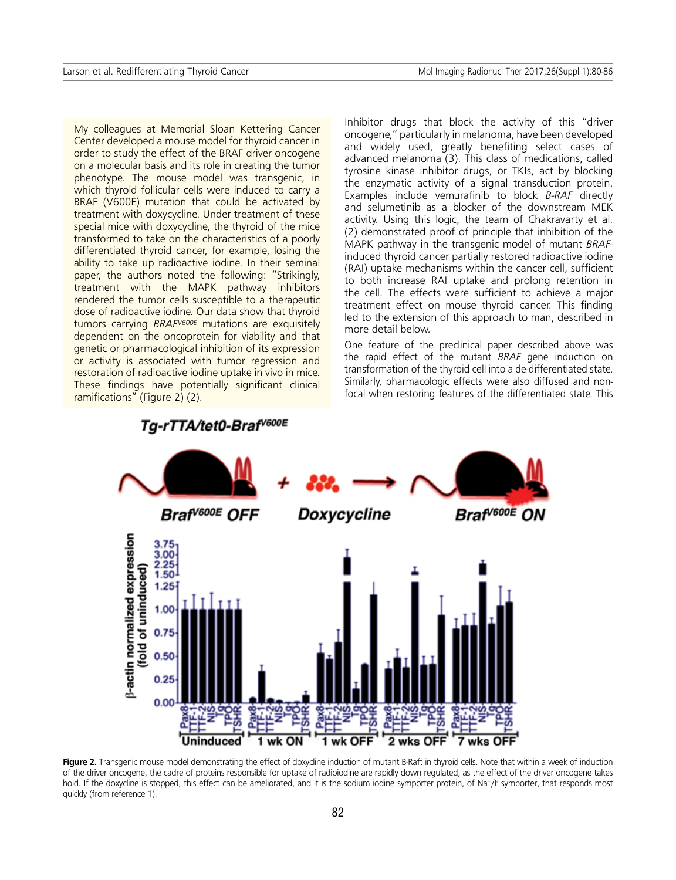My colleagues at Memorial Sloan Kettering Cancer Center developed a mouse model for thyroid cancer in order to study the effect of the BRAF driver oncogene on a molecular basis and its role in creating the tumor phenotype. The mouse model was transgenic, in which thyroid follicular cells were induced to carry a BRAF (V600E) mutation that could be activated by treatment with doxycycline. Under treatment of these special mice with doxycycline, the thyroid of the mice transformed to take on the characteristics of a poorly differentiated thyroid cancer, for example, losing the ability to take up radioactive iodine. In their seminal paper, the authors noted the following: "Strikingly, treatment with the MAPK pathway inhibitors rendered the tumor cells susceptible to a therapeutic dose of radioactive iodine. Our data show that thyroid tumors carrying *BRAFV600E* mutations are exquisitely dependent on the oncoprotein for viability and that genetic or pharmacological inhibition of its expression or activity is associated with tumor regression and restoration of radioactive iodine uptake in vivo in mice. These findings have potentially significant clinical ramifications" (Figure 2) (2).

Inhibitor drugs that block the activity of this "driver oncogene," particularly in melanoma, have been developed and widely used, greatly benefiting select cases of advanced melanoma (3). This class of medications, called tyrosine kinase inhibitor drugs, or TKIs, act by blocking the enzymatic activity of a signal transduction protein. Examples include vemurafinib to block *B-RAF* directly and selumetinib as a blocker of the downstream MEK activity. Using this logic, the team of Chakravarty et al. (2) demonstrated proof of principle that inhibition of the MAPK pathway in the transgenic model of mutant *BRAF*induced thyroid cancer partially restored radioactive iodine (RAI) uptake mechanisms within the cancer cell, sufficient to both increase RAI uptake and prolong retention in the cell. The effects were sufficient to achieve a major treatment effect on mouse thyroid cancer. This finding led to the extension of this approach to man, described in more detail below.

One feature of the preclinical paper described above was the rapid effect of the mutant *BRAF* gene induction on transformation of the thyroid cell into a de-differentiated state. Similarly, pharmacologic effects were also diffused and nonfocal when restoring features of the differentiated state. This



Figure 2. Transgenic mouse model demonstrating the effect of doxycline induction of mutant B-Raft in thyroid cells. Note that within a week of induction of the driver oncogene, the cadre of proteins responsible for uptake of radioiodine are rapidly down regulated, as the effect of the driver oncogene takes hold. If the doxycline is stopped, this effect can be ameliorated, and it is the sodium iodine symporter protein, of Na+/I- symporter, that responds most quickly (from reference 1).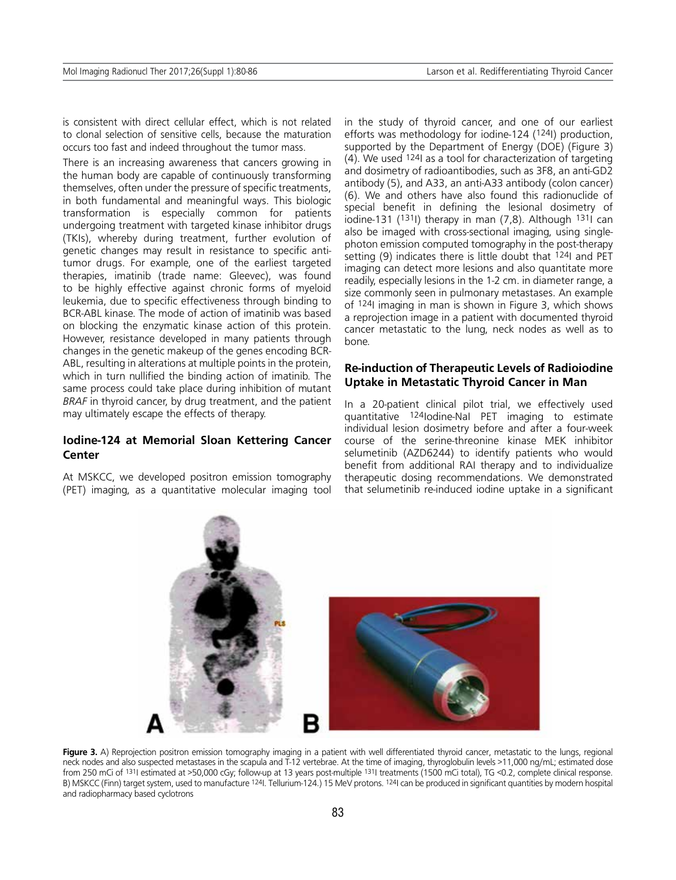is consistent with direct cellular effect, which is not related to clonal selection of sensitive cells, because the maturation occurs too fast and indeed throughout the tumor mass.

There is an increasing awareness that cancers growing in the human body are capable of continuously transforming themselves, often under the pressure of specific treatments, in both fundamental and meaningful ways. This biologic transformation is especially common for patients undergoing treatment with targeted kinase inhibitor drugs (TKIs), whereby during treatment, further evolution of genetic changes may result in resistance to specific antitumor drugs. For example, one of the earliest targeted therapies, imatinib (trade name: Gleevec), was found to be highly effective against chronic forms of myeloid leukemia, due to specific effectiveness through binding to BCR-ABL kinase. The mode of action of imatinib was based on blocking the enzymatic kinase action of this protein. However, resistance developed in many patients through changes in the genetic makeup of the genes encoding BCR-ABL, resulting in alterations at multiple points in the protein, which in turn nullified the binding action of imatinib. The same process could take place during inhibition of mutant *BRAF* in thyroid cancer, by drug treatment, and the patient may ultimately escape the effects of therapy.

#### **Iodine-124 at Memorial Sloan Kettering Cancer Center**

At MSKCC, we developed positron emission tomography (PET) imaging, as a quantitative molecular imaging tool in the study of thyroid cancer, and one of our earliest efforts was methodology for iodine-124 (124I) production, supported by the Department of Energy (DOE) (Figure 3)  $(4)$ . We used  $124$  as a tool for characterization of targeting and dosimetry of radioantibodies, such as 3F8, an anti-GD2 antibody (5), and A33, an anti-A33 antibody (colon cancer) (6). We and others have also found this radionuclide of special benefit in defining the lesional dosimetry of iodine-131 (1311) therapy in man  $(7,8)$ . Although 1311 can also be imaged with cross-sectional imaging, using singlephoton emission computed tomography in the post-therapy setting (9) indicates there is little doubt that <sup>124</sup>I and PET imaging can detect more lesions and also quantitate more readily, especially lesions in the 1-2 cm. in diameter range, a size commonly seen in pulmonary metastases. An example of 124I imaging in man is shown in Figure 3, which shows a reprojection image in a patient with documented thyroid cancer metastatic to the lung, neck nodes as well as to bone.

## **Re-induction of Therapeutic Levels of Radioiodine Uptake in Metastatic Thyroid Cancer in Man**

In a 20-patient clinical pilot trial, we effectively used quantitative 124Iodine-NaI PET imaging to estimate individual lesion dosimetry before and after a four-week course of the serine-threonine kinase MEK inhibitor selumetinib (AZD6244) to identify patients who would benefit from additional RAI therapy and to individualize therapeutic dosing recommendations. We demonstrated that selumetinib re-induced iodine uptake in a significant



Figure 3. A) Reprojection positron emission tomography imaging in a patient with well differentiated thyroid cancer, metastatic to the lungs, regional neck nodes and also suspected metastases in the scapula and T-12 vertebrae. At the time of imaging, thyroglobulin levels >11,000 ng/mL; estimated dose from 250 mCi of 131I estimated at >50,000 cGy; follow-up at 13 years post-multiple 131I treatments (1500 mCi total), TG <0.2, complete clinical response. B) MSKCC (Finn) target system, used to manufacture <sup>124</sup>I. Tellurium-124.) 15 MeV protons. <sup>124</sup>I can be produced in significant quantities by modern hospital and radiopharmacy based cyclotrons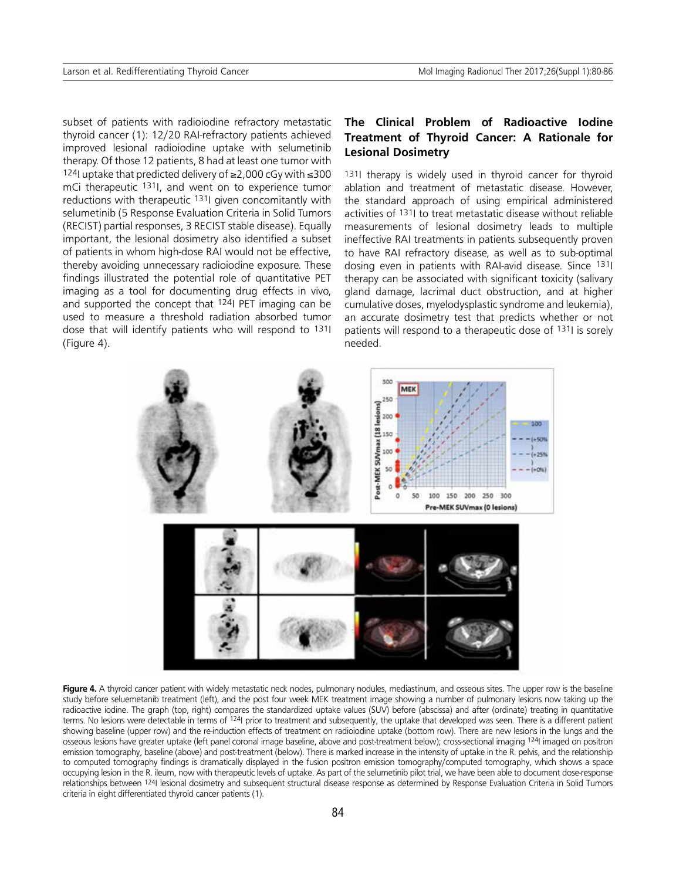subset of patients with radioiodine refractory metastatic thyroid cancer (1): 12/20 RAI-refractory patients achieved improved lesional radioiodine uptake with selumetinib therapy. Of those 12 patients, 8 had at least one tumor with 124I uptake that predicted delivery of ≥2,000 cGy with ≤300 mCi therapeutic 131I, and went on to experience tumor reductions with therapeutic 1311 given concomitantly with selumetinib (5 Response Evaluation Criteria in Solid Tumors (RECIST) partial responses, 3 RECIST stable disease). Equally important, the lesional dosimetry also identified a subset of patients in whom high-dose RAI would not be effective, thereby avoiding unnecessary radioiodine exposure. These findings illustrated the potential role of quantitative PET imaging as a tool for documenting drug effects in vivo, and supported the concept that 124I PET imaging can be used to measure a threshold radiation absorbed tumor dose that will identify patients who will respond to 1311 (Figure 4).

# **The Clinical Problem of Radioactive Iodine Treatment of Thyroid Cancer: A Rationale for Lesional Dosimetry**

131I therapy is widely used in thyroid cancer for thyroid ablation and treatment of metastatic disease. However, the standard approach of using empirical administered activities of 131I to treat metastatic disease without reliable measurements of lesional dosimetry leads to multiple ineffective RAI treatments in patients subsequently proven to have RAI refractory disease, as well as to sub-optimal dosing even in patients with RAI-avid disease. Since 131I therapy can be associated with significant toxicity (salivary gland damage, lacrimal duct obstruction, and at higher cumulative doses, myelodysplastic syndrome and leukemia), an accurate dosimetry test that predicts whether or not patients will respond to a therapeutic dose of 131I is sorely needed.



Figure 4. A thyroid cancer patient with widely metastatic neck nodes, pulmonary nodules, mediastinum, and osseous sites. The upper row is the baseline study before seluemetanib treatment (left), and the post four week MEK treatment image showing a number of pulmonary lesions now taking up the radioactive iodine. The graph (top, right) compares the standardized uptake values (SUV) before (abscissa) and after (ordinate) treating in quantitative terms. No lesions were detectable in terms of <sup>124</sup>I prior to treatment and subsequently, the uptake that developed was seen. There is a different patient showing baseline (upper row) and the re-induction effects of treatment on radioiodine uptake (bottom row). There are new lesions in the lungs and the osseous lesions have greater uptake (left panel coronal image baseline, above and post-treatment below); cross-sectional imaging 124I imaged on positron emission tomography, baseline (above) and post-treatment (below). There is marked increase in the intensity of uptake in the R. pelvis, and the relationship to computed tomography findings is dramatically displayed in the fusion positron emission tomography/computed tomography, which shows a space occupying lesion in the R. ileum, now with therapeutic levels of uptake. As part of the selumetinib pilot trial, we have been able to document dose-response relationships between 124I lesional dosimetry and subsequent structural disease response as determined by Response Evaluation Criteria in Solid Tumors criteria in eight differentiated thyroid cancer patients (1).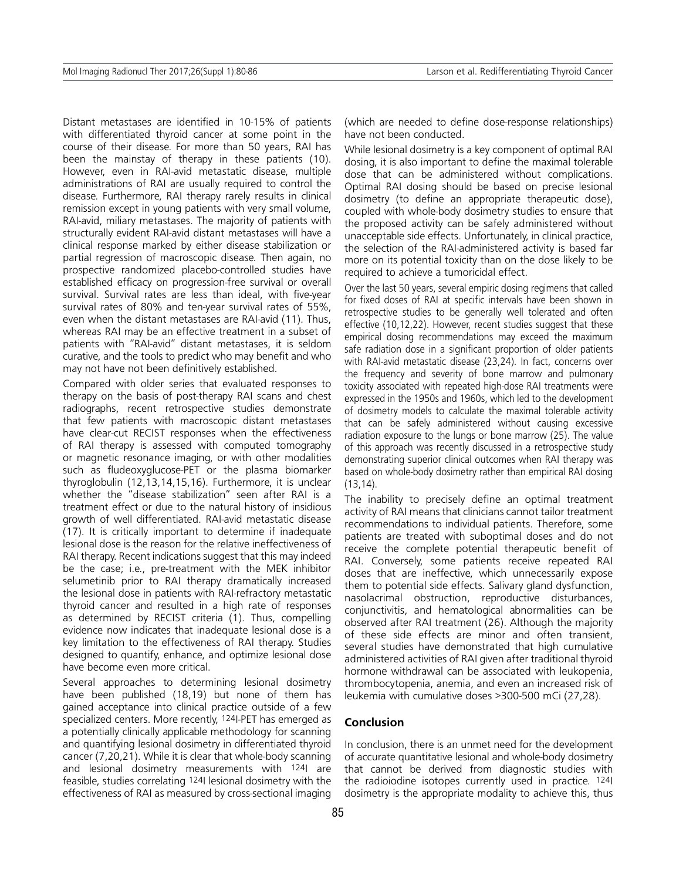Distant metastases are identified in 10-15% of patients with differentiated thyroid cancer at some point in the course of their disease. For more than 50 years, RAI has been the mainstay of therapy in these patients (10). However, even in RAI-avid metastatic disease, multiple administrations of RAI are usually required to control the disease. Furthermore, RAI therapy rarely results in clinical remission except in young patients with very small volume, RAI-avid, miliary metastases. The majority of patients with structurally evident RAI-avid distant metastases will have a clinical response marked by either disease stabilization or partial regression of macroscopic disease. Then again, no prospective randomized placebo-controlled studies have established efficacy on progression-free survival or overall survival. Survival rates are less than ideal, with five-year survival rates of 80% and ten-year survival rates of 55%, even when the distant metastases are RAI-avid (11). Thus, whereas RAI may be an effective treatment in a subset of patients with "RAI-avid" distant metastases, it is seldom curative, and the tools to predict who may benefit and who may not have not been definitively established.

Compared with older series that evaluated responses to therapy on the basis of post-therapy RAI scans and chest radiographs, recent retrospective studies demonstrate that few patients with macroscopic distant metastases have clear-cut RECIST responses when the effectiveness of RAI therapy is assessed with computed tomography or magnetic resonance imaging, or with other modalities such as fludeoxyglucose-PET or the plasma biomarker thyroglobulin (12,13,14,15,16). Furthermore, it is unclear whether the "disease stabilization" seen after RAI is a treatment effect or due to the natural history of insidious growth of well differentiated. RAI-avid metastatic disease (17). It is critically important to determine if inadequate lesional dose is the reason for the relative ineffectiveness of RAI therapy. Recent indications suggest that this may indeed be the case; i.e., pre-treatment with the MEK inhibitor selumetinib prior to RAI therapy dramatically increased the lesional dose in patients with RAI-refractory metastatic thyroid cancer and resulted in a high rate of responses as determined by RECIST criteria (1). Thus, compelling evidence now indicates that inadequate lesional dose is a key limitation to the effectiveness of RAI therapy. Studies designed to quantify, enhance, and optimize lesional dose have become even more critical.

Several approaches to determining lesional dosimetry have been published (18,19) but none of them has gained acceptance into clinical practice outside of a few specialized centers. More recently, 124I-PET has emerged as a potentially clinically applicable methodology for scanning and quantifying lesional dosimetry in differentiated thyroid cancer (7,20,21). While it is clear that whole-body scanning and lesional dosimetry measurements with <sup>124</sup>l are feasible, studies correlating 124I lesional dosimetry with the effectiveness of RAI as measured by cross-sectional imaging

(which are needed to define dose-response relationships) have not been conducted.

While lesional dosimetry is a key component of optimal RAI dosing, it is also important to define the maximal tolerable dose that can be administered without complications. Optimal RAI dosing should be based on precise lesional dosimetry (to define an appropriate therapeutic dose), coupled with whole-body dosimetry studies to ensure that the proposed activity can be safely administered without unacceptable side effects. Unfortunately, in clinical practice, the selection of the RAI-administered activity is based far more on its potential toxicity than on the dose likely to be required to achieve a tumoricidal effect.

Over the last 50 years, several empiric dosing regimens that called for fixed doses of RAI at specific intervals have been shown in retrospective studies to be generally well tolerated and often effective (10,12,22). However, recent studies suggest that these empirical dosing recommendations may exceed the maximum safe radiation dose in a significant proportion of older patients with RAI-avid metastatic disease (23,24). In fact, concerns over the frequency and severity of bone marrow and pulmonary toxicity associated with repeated high-dose RAI treatments were expressed in the 1950s and 1960s, which led to the development of dosimetry models to calculate the maximal tolerable activity that can be safely administered without causing excessive radiation exposure to the lungs or bone marrow (25). The value of this approach was recently discussed in a retrospective study demonstrating superior clinical outcomes when RAI therapy was based on whole-body dosimetry rather than empirical RAI dosing (13,14).

The inability to precisely define an optimal treatment activity of RAI means that clinicians cannot tailor treatment recommendations to individual patients. Therefore, some patients are treated with suboptimal doses and do not receive the complete potential therapeutic benefit of RAI. Conversely, some patients receive repeated RAI doses that are ineffective, which unnecessarily expose them to potential side effects. Salivary gland dysfunction, nasolacrimal obstruction, reproductive disturbances, conjunctivitis, and hematological abnormalities can be observed after RAI treatment (26). Although the majority of these side effects are minor and often transient, several studies have demonstrated that high cumulative administered activities of RAI given after traditional thyroid hormone withdrawal can be associated with leukopenia, thrombocytopenia, anemia, and even an increased risk of leukemia with cumulative doses >300-500 mCi (27,28).

### **Conclusion**

In conclusion, there is an unmet need for the development of accurate quantitative lesional and whole-body dosimetry that cannot be derived from diagnostic studies with the radioiodine isotopes currently used in practice. 124I dosimetry is the appropriate modality to achieve this, thus